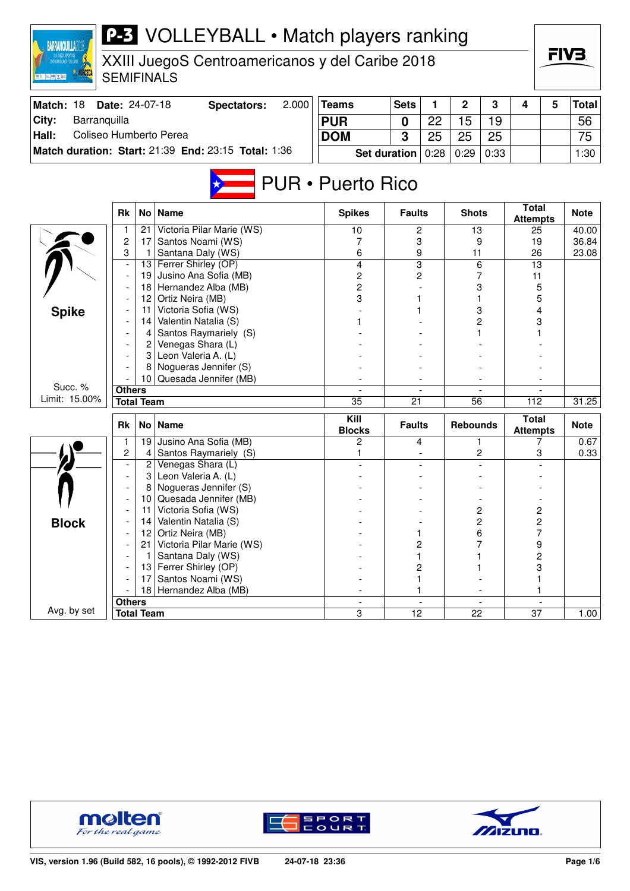| <b>BARRANQUILLA2</b>                                      |                       |                   | <b>P-3</b> VOLLEYBALL . Match players ranking       |                          |                     |         |                 |      |                                 |   |              |  |       |
|-----------------------------------------------------------|-----------------------|-------------------|-----------------------------------------------------|--------------------------|---------------------|---------|-----------------|------|---------------------------------|---|--------------|--|-------|
| , XXIII JUEGOS DEPORTIVOS<br>Introamericanos y del Caribe |                       |                   | XXIII JuegoS Centroamericanos y del Caribe 2018     |                          |                     |         |                 |      |                                 |   | FIV3.        |  |       |
| 三三楼 ズト                                                    |                       |                   | <b>SEMIFINALS</b>                                   |                          |                     |         |                 |      |                                 |   |              |  |       |
| Match: 18                                                 | <b>Date: 24-07-18</b> |                   | 2.000<br><b>Spectators:</b>                         | <b>Teams</b>             | <b>Sets</b>         | 1       | $\mathbf 2$     | 3    | 4                               | 5 | <b>Total</b> |  |       |
| City:<br>Barranquilla                                     |                       |                   |                                                     | <b>PUR</b>               | 0                   | 22      | 15              | 19   |                                 |   | 56           |  |       |
| Coliseo Humberto Perea<br>Hall:                           |                       |                   |                                                     | <b>DOM</b>               | 3                   | 25      | 25              | 25   |                                 |   | 75           |  |       |
|                                                           |                       |                   | Match duration: Start: 21:39 End: 23:15 Total: 1:36 |                          | <b>Set duration</b> | 0:28    | 0:29            | 0:33 |                                 |   | 1:30         |  |       |
|                                                           |                       |                   |                                                     |                          |                     |         |                 |      |                                 |   |              |  |       |
|                                                           |                       |                   |                                                     | <b>PUR • Puerto Rico</b> |                     |         |                 |      |                                 |   |              |  |       |
|                                                           | <b>Rk</b>             | No <sub>1</sub>   | Name                                                | <b>Spikes</b>            | <b>Faults</b>       |         | <b>Shots</b>    |      | <b>Total</b><br><b>Attempts</b> |   | <b>Note</b>  |  |       |
|                                                           |                       | 21                | Victoria Pilar Marie (WS)                           | 10                       |                     | 2       | 13              |      | 25                              |   | 40.00        |  |       |
|                                                           | 2                     | 17                | Santos Noami (WS)                                   | 7                        |                     | 3       |                 | 9    | 19<br>26                        |   | 36.84        |  |       |
|                                                           | 3                     |                   | Santana Daly (WS)                                   | 6                        |                     | 9<br>11 |                 |      |                                 |   |              |  | 23.08 |
|                                                           |                       | 13                | Ferrer Shirley (OP)                                 | 4                        |                     | 3       |                 | 6    | $\overline{13}$                 |   |              |  |       |
|                                                           |                       | 19                | Jusino Ana Sofia (MB)<br>Hernandez Alba (MB)        | 2<br>$\overline{c}$      |                     | 2       |                 | 7    | 11                              |   |              |  |       |
|                                                           | 18<br>12              |                   | Ortiz Neira (MB)                                    | 3                        |                     |         |                 | 3    | 5<br>5                          |   |              |  |       |
|                                                           |                       | 11                | Victoria Sofia (WS)                                 |                          |                     | 3       |                 |      | 4                               |   |              |  |       |
| <b>Spike</b>                                              | 14                    |                   | Valentin Natalia (S)                                |                          |                     |         |                 | 2    | 3                               |   |              |  |       |
|                                                           |                       | 4                 | Santos Raymariely (S)                               |                          |                     |         |                 |      |                                 |   |              |  |       |
|                                                           |                       | 2                 | Venegas Shara (L)                                   |                          |                     |         |                 |      |                                 |   |              |  |       |
|                                                           |                       | 3                 | Leon Valeria A. (L)                                 |                          |                     |         |                 |      |                                 |   |              |  |       |
|                                                           |                       |                   | Nogueras Jennifer (S)                               |                          |                     |         |                 |      |                                 |   |              |  |       |
|                                                           |                       | 10                | Quesada Jennifer (MB)                               |                          |                     |         |                 |      |                                 |   |              |  |       |
| Succ. %                                                   | <b>Others</b>         |                   |                                                     |                          |                     |         |                 |      |                                 |   |              |  |       |
| Limit: 15.00%                                             |                       | <b>Total Team</b> |                                                     | $\overline{35}$          | 21                  |         | 56              |      | 112                             |   | 31.25        |  |       |
|                                                           | <b>Rk</b>             | No <sub>1</sub>   | <b>Name</b>                                         | Kill<br><b>Blocks</b>    | <b>Faults</b>       |         | <b>Rebounds</b> |      | <b>Total</b><br><b>Attempts</b> |   | <b>Note</b>  |  |       |
|                                                           |                       | 19                | Jusino Ana Sofia (MB)                               | 2                        |                     | 4       |                 | 1    | 7                               |   | 0.67         |  |       |
|                                                           | 2                     | 4                 | Santos Raymariely (S)                               |                          |                     |         |                 | 2    | 3                               |   | 0.33         |  |       |
|                                                           |                       | 2                 | Venegas Shara (L)                                   |                          |                     |         |                 |      |                                 |   |              |  |       |
|                                                           |                       | 3<br>8            | Leon Valeria A. (L)<br>Nogueras Jennifer (S)        |                          |                     |         |                 |      |                                 |   |              |  |       |
|                                                           |                       | 10 <sub>1</sub>   | Quesada Jennifer (MB)                               |                          |                     |         |                 |      |                                 |   |              |  |       |
|                                                           |                       | 11                | Victoria Sofia (WS)                                 |                          |                     |         |                 | 2    | 2                               |   |              |  |       |
| <b>Block</b>                                              |                       | 14                | Valentin Natalia (S)                                |                          |                     |         |                 | 2    | $\overline{\mathbf{c}}$         |   |              |  |       |
|                                                           |                       | 12                | Ortiz Neira (MB)                                    |                          |                     | 1       |                 | 6    | 7                               |   |              |  |       |
|                                                           |                       | 21                | Victoria Pilar Marie (WS)                           |                          |                     | 2       |                 | 7    | 9                               |   |              |  |       |
|                                                           |                       |                   | Santana Daly (WS)                                   |                          |                     |         |                 |      | 2                               |   |              |  |       |
|                                                           |                       | 13                | Ferrer Shirley (OP)                                 |                          |                     | 2       |                 |      | 3                               |   |              |  |       |
|                                                           |                       | 17                | Santos Noami (WS)                                   |                          |                     |         |                 |      | 1                               |   |              |  |       |
|                                                           |                       | 18                | Hernandez Alba (MB)                                 |                          |                     |         |                 |      | 1                               |   |              |  |       |
|                                                           | <b>Others</b>         |                   |                                                     |                          |                     |         |                 |      |                                 |   |              |  |       |
| Avg. by set                                               |                       | <b>Total Team</b> |                                                     | 3                        | 12                  |         | 22              |      | 37                              |   | 1.00         |  |       |







 $\sqrt{ }$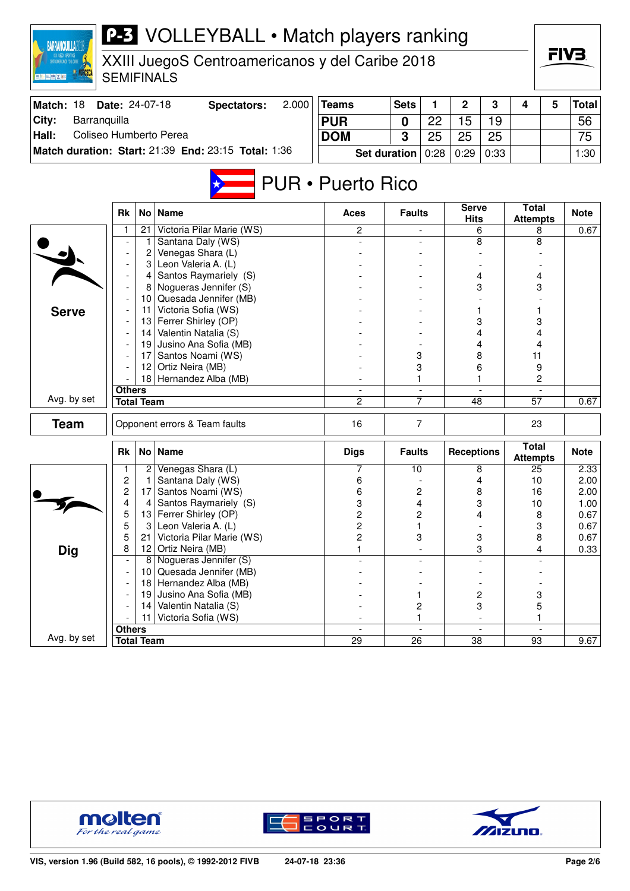| <b>P-3</b> VOLLEYBALL • Match players ranking<br><b>BARRANQUILLA2018</b><br>XXIII JuegoS Centroamericanos y del Caribe 2018<br><b>SEMIFINALS</b><br><b>夏阳 三 幽 区 西</b> |                                    |                   |                                                     |                                  |                               |                |                      |                |                                 |              |              |
|-----------------------------------------------------------------------------------------------------------------------------------------------------------------------|------------------------------------|-------------------|-----------------------------------------------------|----------------------------------|-------------------------------|----------------|----------------------|----------------|---------------------------------|--------------|--------------|
| Match: 18                                                                                                                                                             | Date: 24-07-18                     |                   | 2.000<br><b>Spectators:</b>                         | <b>Teams</b>                     | <b>Sets</b>                   | 1              | $\mathbf 2$          | 3              | 4                               | 5            | <b>Total</b> |
| City:<br>Barranquilla                                                                                                                                                 |                                    |                   |                                                     | <b>PUR</b>                       | 0                             | 22             | 15                   | 19             |                                 |              | 56           |
| Hall:<br>Coliseo Humberto Perea                                                                                                                                       |                                    |                   |                                                     | <b>DOM</b>                       | 3                             | 25             | 25                   | 25             |                                 |              | 75           |
|                                                                                                                                                                       |                                    |                   | Match duration: Start: 21:39 End: 23:15 Total: 1:36 |                                  | <b>Set duration</b>           | 0:28           | 0:29                 | 0:33           |                                 |              | 1:30         |
|                                                                                                                                                                       |                                    |                   |                                                     | <b>PUR • Puerto Rico</b>         |                               |                |                      |                |                                 |              |              |
|                                                                                                                                                                       | Rk                                 | No l              | <b>Name</b>                                         | Aces                             | <b>Faults</b>                 |                | Serve<br><b>Hits</b> |                | <b>Total</b><br><b>Attempts</b> |              | <b>Note</b>  |
|                                                                                                                                                                       |                                    | 21                | Victoria Pilar Marie (WS)                           | $\overline{c}$                   |                               |                |                      | 6              | 8                               |              | 0.67         |
|                                                                                                                                                                       |                                    | 1                 | Santana Daly (WS)                                   |                                  |                               |                |                      | 8              | 8                               |              |              |
|                                                                                                                                                                       |                                    | 2                 | Venegas Shara (L)                                   |                                  |                               |                |                      |                |                                 |              |              |
|                                                                                                                                                                       |                                    | 3<br>4            | Leon Valeria A. (L)<br>Santos Raymariely (S)        |                                  |                               |                |                      | 4              | 4                               |              |              |
|                                                                                                                                                                       |                                    | 8                 | Nogueras Jennifer (S)                               |                                  |                               |                |                      | 3              | 3                               |              |              |
|                                                                                                                                                                       |                                    |                   | 10 Quesada Jennifer (MB)                            |                                  |                               |                |                      |                |                                 |              |              |
| <b>Serve</b>                                                                                                                                                          |                                    | 11                | Victoria Sofia (WS)                                 |                                  |                               |                |                      |                |                                 |              |              |
|                                                                                                                                                                       |                                    | 13                | Ferrer Shirley (OP)                                 |                                  |                               |                | 3                    |                |                                 | 3            |              |
|                                                                                                                                                                       |                                    | 14                | Valentin Natalia (S)                                |                                  |                               |                | 4                    |                | 4                               |              |              |
|                                                                                                                                                                       |                                    | 19                | Jusino Ana Sofia (MB)                               |                                  |                               |                | 4                    |                | 4                               |              |              |
|                                                                                                                                                                       |                                    | 17                | Santos Noami (WS)                                   |                                  |                               | 3              |                      | 8              | 11                              |              |              |
|                                                                                                                                                                       |                                    | 12 <sup>2</sup>   | Ortiz Neira (MB)                                    |                                  |                               | 3              |                      | 6              | 9                               |              |              |
|                                                                                                                                                                       | 18                                 |                   | Hernandez Alba (MB)                                 |                                  | 1.                            |                | 1                    |                | $\overline{c}$                  |              |              |
| Avg. by set                                                                                                                                                           | <b>Others</b><br><b>Total Team</b> |                   |                                                     | $\overline{2}$                   | $\overline{\phantom{a}}$<br>7 |                | 48                   |                | $\overline{57}$                 |              | 0.67         |
|                                                                                                                                                                       |                                    |                   |                                                     |                                  |                               |                |                      |                |                                 |              |              |
| <b>Team</b>                                                                                                                                                           |                                    |                   | Opponent errors & Team faults                       | 16                               |                               | 7              |                      |                | 23                              |              |              |
|                                                                                                                                                                       | <b>Rk</b>                          | No <sub>1</sub>   | <b>Name</b>                                         | <b>Digs</b>                      | <b>Faults</b>                 |                | <b>Receptions</b>    |                | <b>Total</b><br><b>Attempts</b> |              | <b>Note</b>  |
|                                                                                                                                                                       | 1                                  | $\overline{2}$    | Venegas Shara (L)                                   | 7                                | 10                            |                |                      | 8              | 25                              |              | 2.33         |
|                                                                                                                                                                       | 2                                  | -1                | Santana Daly (WS)                                   | 6                                |                               |                |                      | 4              | 10                              |              | 2.00         |
|                                                                                                                                                                       | 2                                  | 17 <sup>1</sup>   | Santos Noami (WS)                                   | 6                                |                               | 2              |                      | 8              | 16                              |              | 2.00         |
|                                                                                                                                                                       | 4                                  | 4                 | Santos Raymariely (S)                               | 3                                |                               | 4              |                      | 3              | $10$                            |              | 1.00         |
|                                                                                                                                                                       | 5<br>5                             | 13<br>3           | Ferrer Shirley (OP)<br>Leon Valeria A. (L)          | $\overline{c}$<br>$\overline{c}$ |                               | 2<br>1         |                      | 4              | 8                               |              | 0.67<br>0.67 |
|                                                                                                                                                                       | 5                                  | 21                | Victoria Pilar Marie (WS)                           | $\overline{c}$                   |                               | 3              |                      | 3              | 3<br>8                          |              | 0.67         |
| <b>Dig</b>                                                                                                                                                            | 8                                  | 12                | Ortiz Neira (MB)                                    | $\mathbf{1}$                     |                               |                |                      | 3              | $\overline{4}$                  |              | 0.33         |
|                                                                                                                                                                       |                                    |                   | 8 Nogueras Jennifer (S)                             |                                  |                               |                |                      |                |                                 |              |              |
|                                                                                                                                                                       |                                    | 10                | Quesada Jennifer (MB)                               |                                  |                               |                |                      |                |                                 |              |              |
|                                                                                                                                                                       |                                    | 18                | Hernandez Alba (MB)                                 |                                  |                               |                |                      |                |                                 |              |              |
|                                                                                                                                                                       |                                    | 19                | Jusino Ana Sofia (MB)                               |                                  |                               | 1              |                      | 2              | 3                               |              |              |
|                                                                                                                                                                       |                                    | 14                | Valentin Natalia (S)                                |                                  |                               | 2              |                      | 3              | 5                               |              |              |
|                                                                                                                                                                       |                                    | 11.               | Victoria Sofia (WS)                                 |                                  |                               | $\mathbf{1}$   |                      |                | 1                               |              |              |
| Avg. by set                                                                                                                                                           | <b>Others</b>                      |                   |                                                     | $\overline{a}$                   |                               | $\blacksquare$ |                      | $\blacksquare$ |                                 | $\mathbf{r}$ |              |
|                                                                                                                                                                       |                                    | <b>Total Team</b> |                                                     | $\overline{29}$                  | $\overline{26}$               |                | $\overline{38}$      |                | 93                              |              | 9.67         |





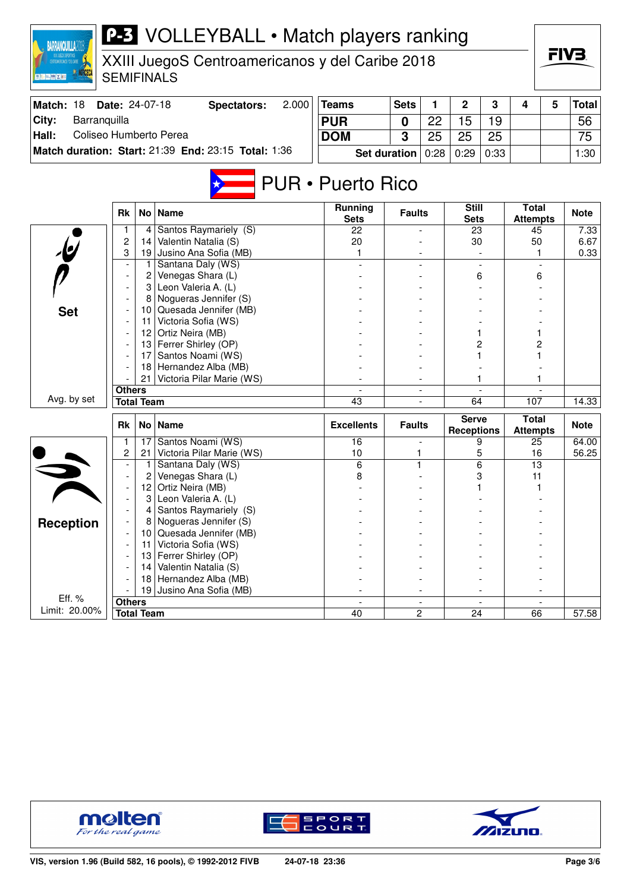| <b>BARRANQUILLA20</b>                           |                          |                     | <b>P-3</b> VOLLEYBALL • Match players ranking       |                               |                     |      |                                   |      |                                 |   |              |  |   |  |  |  |  |  |  |  |  |  |  |  |  |
|-------------------------------------------------|--------------------------|---------------------|-----------------------------------------------------|-------------------------------|---------------------|------|-----------------------------------|------|---------------------------------|---|--------------|--|---|--|--|--|--|--|--|--|--|--|--|--|--|
| XXIII JuegoS Centroamericanos y del Caribe 2018 |                          |                     |                                                     |                               |                     |      |                                   |      |                                 |   | FIV3.        |  |   |  |  |  |  |  |  |  |  |  |  |  |  |
|                                                 |                          |                     | <b>SEMIFINALS</b>                                   |                               |                     |      |                                   |      |                                 |   |              |  |   |  |  |  |  |  |  |  |  |  |  |  |  |
| Match: 18                                       | Date: 24-07-18           |                     | 2.000<br><b>Spectators:</b>                         | <b>Teams</b>                  | <b>Sets</b>         | 1    | $\overline{2}$                    | 3    | 4                               | 5 | <b>Total</b> |  |   |  |  |  |  |  |  |  |  |  |  |  |  |
| City:<br>Barranquilla                           |                          |                     |                                                     | <b>PUR</b>                    | 0                   | 22   | 15                                | 19   |                                 |   | 56           |  |   |  |  |  |  |  |  |  |  |  |  |  |  |
| Coliseo Humberto Perea<br>Hall:                 |                          |                     |                                                     | <b>DOM</b>                    | 3                   | 25   | 25                                | 25   |                                 |   | 75           |  |   |  |  |  |  |  |  |  |  |  |  |  |  |
|                                                 |                          |                     | Match duration: Start: 21:39 End: 23:15 Total: 1:36 |                               | <b>Set duration</b> | 0:28 | 0:29                              | 0:33 |                                 |   | 1:30         |  |   |  |  |  |  |  |  |  |  |  |  |  |  |
|                                                 |                          |                     |                                                     |                               |                     |      |                                   |      |                                 |   |              |  |   |  |  |  |  |  |  |  |  |  |  |  |  |
| <b>PUR • Puerto Rico</b>                        |                          |                     |                                                     |                               |                     |      |                                   |      |                                 |   |              |  |   |  |  |  |  |  |  |  |  |  |  |  |  |
|                                                 | <b>Rk</b>                | No <sub>1</sub>     | <b>Name</b>                                         | <b>Running</b><br><b>Sets</b> | <b>Faults</b>       |      | <b>Still</b><br><b>Sets</b>       |      | <b>Total</b><br><b>Attempts</b> |   | <b>Note</b>  |  |   |  |  |  |  |  |  |  |  |  |  |  |  |
|                                                 | $\mathbf{1}$             | 4                   | Santos Raymariely (S)                               | 22                            |                     |      | 23                                |      | 45                              |   | 7.33         |  |   |  |  |  |  |  |  |  |  |  |  |  |  |
|                                                 | $\overline{c}$           | 14                  | Valentin Natalia (S)                                | 20                            |                     |      | 30                                |      | 50                              |   | 6.67         |  |   |  |  |  |  |  |  |  |  |  |  |  |  |
|                                                 | 3                        | 19                  | Jusino Ana Sofia (MB)                               | 1                             |                     |      |                                   |      | 1                               |   | 0.33         |  |   |  |  |  |  |  |  |  |  |  |  |  |  |
|                                                 | $\overline{\phantom{a}}$ |                     | Santana Daly (WS)                                   |                               |                     |      |                                   |      |                                 |   |              |  | 6 |  |  |  |  |  |  |  |  |  |  |  |  |
|                                                 |                          | $\overline{c}$<br>3 | Venegas Shara (L)<br>Leon Valeria A. (L)            |                               |                     |      |                                   |      | 6                               |   |              |  |   |  |  |  |  |  |  |  |  |  |  |  |  |
|                                                 |                          |                     | Nogueras Jennifer (S)                               |                               |                     |      |                                   |      |                                 |   |              |  |   |  |  |  |  |  |  |  |  |  |  |  |  |
| <b>Set</b>                                      |                          |                     | 10 Quesada Jennifer (MB)                            |                               |                     |      |                                   |      |                                 |   |              |  |   |  |  |  |  |  |  |  |  |  |  |  |  |
|                                                 | 11                       |                     | Victoria Sofia (WS)                                 |                               |                     |      |                                   |      |                                 |   |              |  |   |  |  |  |  |  |  |  |  |  |  |  |  |
|                                                 |                          |                     | 12 Ortiz Neira (MB)                                 |                               |                     |      |                                   |      |                                 |   |              |  |   |  |  |  |  |  |  |  |  |  |  |  |  |
|                                                 |                          | 13 <sup>1</sup>     | Ferrer Shirley (OP)                                 |                               |                     |      | 2                                 |      | 2                               |   |              |  |   |  |  |  |  |  |  |  |  |  |  |  |  |
|                                                 |                          | 17                  | Santos Noami (WS)                                   |                               |                     |      |                                   |      |                                 |   |              |  |   |  |  |  |  |  |  |  |  |  |  |  |  |
|                                                 |                          | 18                  | Hernandez Alba (MB)                                 |                               |                     |      |                                   |      |                                 |   |              |  |   |  |  |  |  |  |  |  |  |  |  |  |  |
|                                                 | 21                       |                     | Victoria Pilar Marie (WS)                           |                               |                     |      |                                   |      |                                 |   |              |  |   |  |  |  |  |  |  |  |  |  |  |  |  |
| Avg. by set                                     | <b>Others</b>            |                     |                                                     |                               |                     |      |                                   |      |                                 |   |              |  |   |  |  |  |  |  |  |  |  |  |  |  |  |
|                                                 |                          | <b>Total Team</b>   |                                                     | 43                            |                     |      | 64                                |      | 107                             |   | 14.33        |  |   |  |  |  |  |  |  |  |  |  |  |  |  |
|                                                 | Rk                       | No <sub>1</sub>     | <b>Name</b>                                         | <b>Excellents</b>             | <b>Faults</b>       |      | <b>Serve</b><br><b>Receptions</b> |      | <b>Total</b><br><b>Attempts</b> |   | <b>Note</b>  |  |   |  |  |  |  |  |  |  |  |  |  |  |  |
|                                                 | $\mathbf{1}$             | 17                  | Santos Noami (WS)                                   | 16                            |                     |      | 9                                 |      | 25                              |   | 64.00        |  |   |  |  |  |  |  |  |  |  |  |  |  |  |
|                                                 | 2                        | 21.                 | Victoria Pilar Marie (WS)                           | 10                            | 1                   |      |                                   | 5    | 16                              |   | 56.25        |  |   |  |  |  |  |  |  |  |  |  |  |  |  |
|                                                 |                          | 1                   | Santana Daly (WS)                                   | 6                             |                     |      | 6                                 |      | 13                              |   |              |  |   |  |  |  |  |  |  |  |  |  |  |  |  |
|                                                 |                          |                     | Venegas Shara (L)                                   | 8                             |                     |      | 3<br>1                            |      | 11                              |   |              |  |   |  |  |  |  |  |  |  |  |  |  |  |  |
|                                                 |                          | 12<br>3             | Ortiz Neira (MB)<br>Leon Valeria A. (L)             |                               |                     |      |                                   |      | 1                               |   |              |  |   |  |  |  |  |  |  |  |  |  |  |  |  |
|                                                 |                          | 4                   | Santos Raymariely (S)                               |                               |                     |      |                                   |      |                                 |   |              |  |   |  |  |  |  |  |  |  |  |  |  |  |  |
| <b>Reception</b>                                |                          | 8                   | Nogueras Jennifer (S)                               |                               |                     |      |                                   |      |                                 |   |              |  |   |  |  |  |  |  |  |  |  |  |  |  |  |
|                                                 |                          | 10                  | Quesada Jennifer (MB)                               |                               |                     |      |                                   |      |                                 |   |              |  |   |  |  |  |  |  |  |  |  |  |  |  |  |
|                                                 |                          | 11                  | Victoria Sofia (WS)                                 |                               |                     |      |                                   |      |                                 |   |              |  |   |  |  |  |  |  |  |  |  |  |  |  |  |
|                                                 |                          | 13                  | Ferrer Shirley (OP)                                 |                               |                     |      |                                   |      |                                 |   |              |  |   |  |  |  |  |  |  |  |  |  |  |  |  |
|                                                 |                          | 14                  | Valentin Natalia (S)                                |                               |                     |      |                                   |      |                                 |   |              |  |   |  |  |  |  |  |  |  |  |  |  |  |  |
|                                                 |                          | 18                  | Hernandez Alba (MB)                                 |                               |                     |      |                                   |      |                                 |   |              |  |   |  |  |  |  |  |  |  |  |  |  |  |  |
|                                                 |                          | 19                  | Jusino Ana Sofia (MB)                               |                               |                     |      |                                   |      |                                 |   |              |  |   |  |  |  |  |  |  |  |  |  |  |  |  |
| Eff. %<br>Limit: 20.00%                         | <b>Others</b>            |                     |                                                     |                               |                     |      |                                   |      |                                 |   |              |  |   |  |  |  |  |  |  |  |  |  |  |  |  |
|                                                 |                          | <b>Total Team</b>   |                                                     | 40                            |                     | 2    | 24                                |      | 66                              |   | 57.58        |  |   |  |  |  |  |  |  |  |  |  |  |  |  |





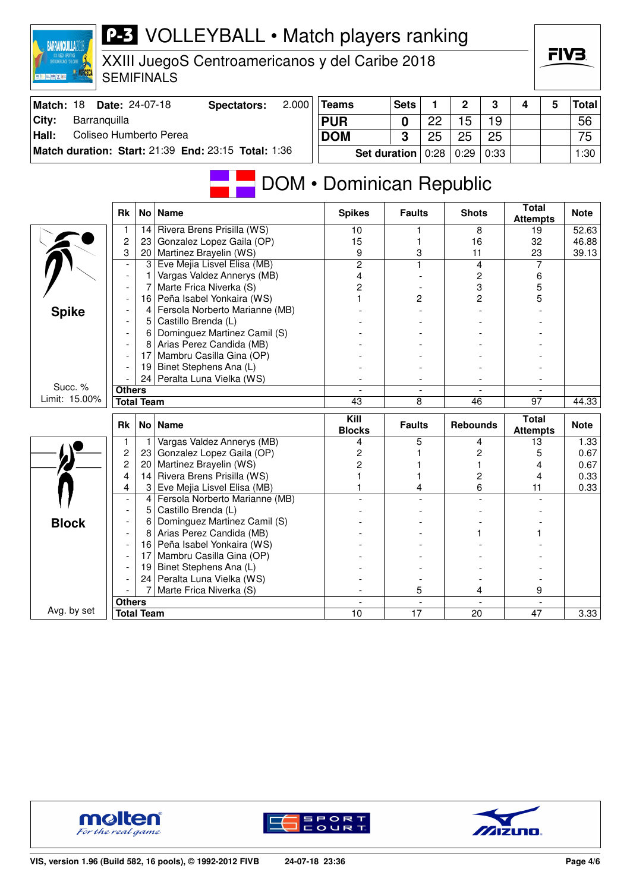| <b>BARRANQUILLA2</b>                            |                |                                                     | <b>P-3</b> VOLLEYBALL • Match players ranking                 |                          |               |      |                 |    |                                 |      |              |    |  |                      |       |  |  |  |  |  |  |  |  |  |  |  |  |  |  |
|-------------------------------------------------|----------------|-----------------------------------------------------|---------------------------------------------------------------|--------------------------|---------------|------|-----------------|----|---------------------------------|------|--------------|----|--|----------------------|-------|--|--|--|--|--|--|--|--|--|--|--|--|--|--|
| XXIII JuegoS Centroamericanos y del Caribe 2018 |                |                                                     |                                                               |                          |               |      |                 |    |                                 |      | FIV3.        |    |  |                      |       |  |  |  |  |  |  |  |  |  |  |  |  |  |  |
| ■ 三 三 時 ズ 三                                     |                |                                                     | <b>SEMIFINALS</b>                                             |                          |               |      |                 |    |                                 |      |              |    |  |                      |       |  |  |  |  |  |  |  |  |  |  |  |  |  |  |
| Match: 18                                       | Date: 24-07-18 |                                                     | 2.000<br><b>Spectators:</b>                                   | <b>Teams</b>             | <b>Sets</b>   | 1    | 2               | 3  | 4                               | 5    | <b>Total</b> |    |  |                      |       |  |  |  |  |  |  |  |  |  |  |  |  |  |  |
| City:<br>Barranquilla                           |                |                                                     |                                                               | <b>PUR</b>               | $\mathbf 0$   | 22   | 15              | 19 |                                 |      | 56           |    |  |                      |       |  |  |  |  |  |  |  |  |  |  |  |  |  |  |
| Hall:<br>Coliseo Humberto Perea                 |                | <b>DOM</b>                                          | 3                                                             | 25                       | 25            | 25   |                 |    | 75                              |      |              |    |  |                      |       |  |  |  |  |  |  |  |  |  |  |  |  |  |  |
|                                                 |                | Match duration: Start: 21:39 End: 23:15 Total: 1:36 |                                                               | <b>Set duration</b>      | 0:28          | 0:29 | 0:33            |    |                                 | 1:30 |              |    |  |                      |       |  |  |  |  |  |  |  |  |  |  |  |  |  |  |
|                                                 |                |                                                     |                                                               |                          |               |      |                 |    |                                 |      |              |    |  |                      |       |  |  |  |  |  |  |  |  |  |  |  |  |  |  |
|                                                 |                |                                                     |                                                               | DOM • Dominican Republic |               |      |                 |    |                                 |      |              |    |  |                      |       |  |  |  |  |  |  |  |  |  |  |  |  |  |  |
|                                                 | <b>Rk</b>      | No <sub>1</sub>                                     | <b>Name</b>                                                   | <b>Spikes</b>            | <b>Faults</b> |      | <b>Shots</b>    |    | <b>Total</b><br><b>Attempts</b> |      | <b>Note</b>  |    |  |                      |       |  |  |  |  |  |  |  |  |  |  |  |  |  |  |
|                                                 | 1              | 14                                                  | Rivera Brens Prisilla (WS)                                    | 10                       |               |      | 8               |    | 19                              |      | 52.63        |    |  |                      |       |  |  |  |  |  |  |  |  |  |  |  |  |  |  |
|                                                 | 2              | 23                                                  | Gonzalez Lopez Gaila (OP)                                     | 15                       |               | 3    |                 | 16 | 32                              |      | 46.88        |    |  |                      |       |  |  |  |  |  |  |  |  |  |  |  |  |  |  |
|                                                 | 3              | 20                                                  | Martinez Brayelin (WS)                                        | 9                        |               |      |                 |    |                                 |      |              | 11 |  | 23<br>$\overline{7}$ | 39.13 |  |  |  |  |  |  |  |  |  |  |  |  |  |  |
|                                                 |                | 3                                                   | Eve Mejia Lisvel Elisa (MB)                                   | $\overline{2}$           |               |      |                 |    | 4<br>2                          |      | 6            |    |  |                      |       |  |  |  |  |  |  |  |  |  |  |  |  |  |  |
|                                                 |                | 7                                                   | Vargas Valdez Annerys (MB)<br>Marte Frica Niverka (S)         | 4<br>2                   |               |      |                 |    |                                 |      |              |    |  |                      |       |  |  |  |  |  |  |  |  |  |  |  |  |  |  |
|                                                 | 16             |                                                     | Peña Isabel Yonkaira (WS)                                     |                          | 2             |      | 3<br>2          |    | 5<br>5                          |      |              |    |  |                      |       |  |  |  |  |  |  |  |  |  |  |  |  |  |  |
| <b>Spike</b>                                    |                | 4                                                   | Fersola Norberto Marianne (MB)                                |                          |               |      |                 |    |                                 |      |              |    |  |                      |       |  |  |  |  |  |  |  |  |  |  |  |  |  |  |
|                                                 |                | 5                                                   | Castillo Brenda (L)                                           |                          |               |      |                 |    |                                 |      |              |    |  |                      |       |  |  |  |  |  |  |  |  |  |  |  |  |  |  |
|                                                 | 6              |                                                     | Dominguez Martinez Camil (S)                                  |                          |               |      |                 |    |                                 |      |              |    |  |                      |       |  |  |  |  |  |  |  |  |  |  |  |  |  |  |
|                                                 |                | 8                                                   | Arias Perez Candida (MB)                                      |                          |               |      |                 |    |                                 |      |              |    |  |                      |       |  |  |  |  |  |  |  |  |  |  |  |  |  |  |
|                                                 |                | 17                                                  | Mambru Casilla Gina (OP)                                      |                          |               |      |                 |    |                                 |      |              |    |  |                      |       |  |  |  |  |  |  |  |  |  |  |  |  |  |  |
|                                                 |                | 19                                                  | Binet Stephens Ana (L)                                        |                          |               |      |                 |    |                                 |      |              |    |  |                      |       |  |  |  |  |  |  |  |  |  |  |  |  |  |  |
| Succ. %                                         |                | 24                                                  | Peralta Luna Vielka (WS)                                      |                          |               |      |                 |    |                                 |      |              |    |  |                      |       |  |  |  |  |  |  |  |  |  |  |  |  |  |  |
| Limit: 15.00%                                   | <b>Others</b>  |                                                     |                                                               |                          |               |      |                 |    |                                 |      |              |    |  |                      |       |  |  |  |  |  |  |  |  |  |  |  |  |  |  |
|                                                 |                | <b>Total Team</b>                                   |                                                               | 43                       | 8             |      | 46              |    | $\overline{97}$                 |      | 44.33        |    |  |                      |       |  |  |  |  |  |  |  |  |  |  |  |  |  |  |
|                                                 | Rk             | No <sub>1</sub>                                     | <b>Name</b>                                                   | Kill<br><b>Blocks</b>    | <b>Faults</b> |      | <b>Rebounds</b> |    | <b>Total</b><br><b>Attempts</b> |      | <b>Note</b>  |    |  |                      |       |  |  |  |  |  |  |  |  |  |  |  |  |  |  |
|                                                 | 1              | $\mathbf{1}$                                        | Vargas Valdez Annerys (MB)                                    | 4                        |               | 5    |                 | 4  | 13                              |      | 1.33         |    |  |                      |       |  |  |  |  |  |  |  |  |  |  |  |  |  |  |
|                                                 | 2              |                                                     | 23 Gonzalez Lopez Gaila (OP)                                  | 2                        |               |      |                 | 2  | 5                               |      | 0.67         |    |  |                      |       |  |  |  |  |  |  |  |  |  |  |  |  |  |  |
|                                                 | 2              | 20 <sup>1</sup>                                     | Martinez Brayelin (WS)                                        | 2                        |               |      | 1               |    | 4                               |      | 0.67         |    |  |                      |       |  |  |  |  |  |  |  |  |  |  |  |  |  |  |
|                                                 | 4              | 14                                                  | Rivera Brens Prisilla (WS)                                    |                          |               |      |                 | 2  | 4                               |      | 0.33         |    |  |                      |       |  |  |  |  |  |  |  |  |  |  |  |  |  |  |
|                                                 | 4              | 3                                                   | Eve Mejia Lisvel Elisa (MB)<br>Fersola Norberto Marianne (MB) |                          | 4             |      |                 | 6  | 11                              |      | 0.33         |    |  |                      |       |  |  |  |  |  |  |  |  |  |  |  |  |  |  |
|                                                 |                | 5                                                   | Castillo Brenda (L)                                           |                          |               |      |                 |    |                                 |      |              |    |  |                      |       |  |  |  |  |  |  |  |  |  |  |  |  |  |  |
| <b>Block</b>                                    |                | 6                                                   | Dominguez Martinez Camil (S)                                  |                          |               |      |                 |    |                                 |      |              |    |  |                      |       |  |  |  |  |  |  |  |  |  |  |  |  |  |  |
|                                                 |                | 8                                                   | Arias Perez Candida (MB)                                      |                          |               |      |                 |    |                                 |      |              |    |  |                      |       |  |  |  |  |  |  |  |  |  |  |  |  |  |  |
|                                                 |                | 16                                                  | Peña Isabel Yonkaira (WS)                                     |                          |               |      |                 |    |                                 |      |              |    |  |                      |       |  |  |  |  |  |  |  |  |  |  |  |  |  |  |
|                                                 |                | 17                                                  | Mambru Casilla Gina (OP)                                      |                          |               |      |                 |    |                                 |      |              |    |  |                      |       |  |  |  |  |  |  |  |  |  |  |  |  |  |  |
|                                                 |                | 19                                                  | Binet Stephens Ana (L)                                        |                          |               |      |                 |    |                                 |      |              |    |  |                      |       |  |  |  |  |  |  |  |  |  |  |  |  |  |  |
|                                                 |                | 24                                                  | Peralta Luna Vielka (WS)                                      |                          |               |      |                 |    |                                 |      |              |    |  |                      |       |  |  |  |  |  |  |  |  |  |  |  |  |  |  |
|                                                 |                |                                                     | Marte Frica Niverka (S)                                       |                          |               | 5    |                 | 4  | 9                               |      |              |    |  |                      |       |  |  |  |  |  |  |  |  |  |  |  |  |  |  |
|                                                 | <b>Others</b>  |                                                     |                                                               |                          |               |      |                 |    |                                 |      |              |    |  |                      |       |  |  |  |  |  |  |  |  |  |  |  |  |  |  |
| Avg. by set                                     |                | <b>Total Team</b>                                   |                                                               | 10                       | 17            |      | 20              |    | 47                              |      | 3.33         |    |  |                      |       |  |  |  |  |  |  |  |  |  |  |  |  |  |  |





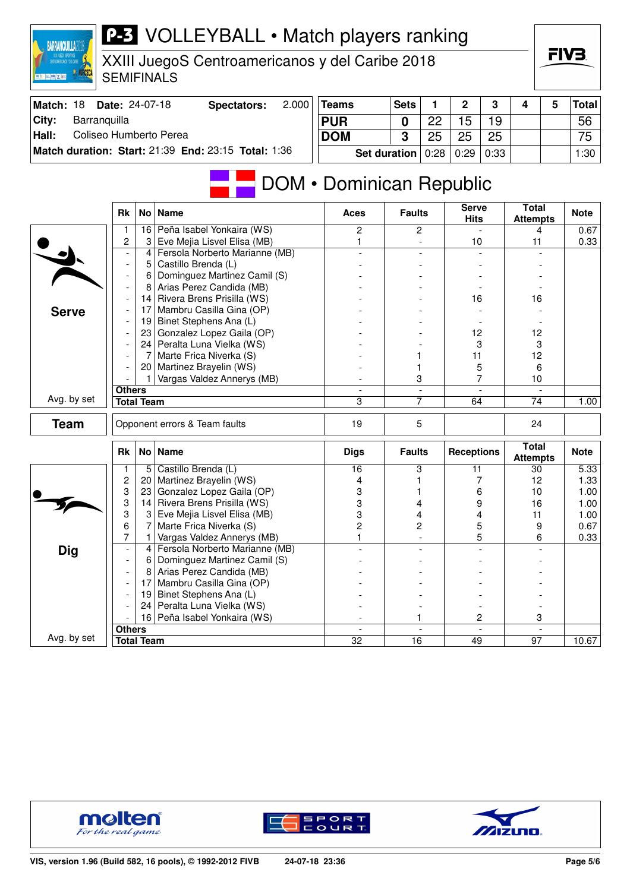| CENTROANERICANOS Y DEL CARLE<br>■ 千 百 勝 × 百 | <b>SEMIFINALS</b>        |                   | XXIII JuegoS Centroamericanos y del Caribe 2018          |                     |                     |      |                   |      |                                 |   | г у э        |  |  |  |    |  |  |  |
|---------------------------------------------|--------------------------|-------------------|----------------------------------------------------------|---------------------|---------------------|------|-------------------|------|---------------------------------|---|--------------|--|--|--|----|--|--|--|
| Match: 18                                   | Date: 24-07-18           |                   | 2.000<br><b>Spectators:</b>                              | <b>Teams</b>        | <b>Sets</b>         | 1    | $\mathbf 2$       | 3    | 4                               | 5 | <b>Total</b> |  |  |  |    |  |  |  |
| Barranquilla<br>City:                       |                          |                   |                                                          | <b>PUR</b>          | 0                   | 22   | 15                | 19   |                                 |   | 56           |  |  |  |    |  |  |  |
| Coliseo Humberto Perea<br>Hall:             |                          |                   |                                                          | <b>DOM</b>          | 3                   | 25   | 25                | 25   |                                 |   | 75           |  |  |  |    |  |  |  |
|                                             |                          |                   | Match duration: Start: 21:39 End: 23:15 Total: 1:36      |                     | <b>Set duration</b> | 0:28 | 0:29              | 0:33 |                                 |   | 1:30         |  |  |  |    |  |  |  |
|                                             | <b>Rk</b>                |                   | <b>DOM</b> • Dominican Republic<br>No   Name             | <b>Aces</b>         | <b>Faults</b>       |      | <b>Serve</b>      |      | <b>Total</b>                    |   | <b>Note</b>  |  |  |  |    |  |  |  |
|                                             |                          |                   |                                                          |                     |                     |      | <b>Hits</b>       |      | <b>Attempts</b>                 |   |              |  |  |  |    |  |  |  |
|                                             | 1<br>$\overline{c}$      | 16<br>3           | Peña Isabel Yonkaira (WS)<br>Eve Mejia Lisvel Elisa (MB) | $\overline{c}$<br>1 | $\overline{c}$      |      |                   |      | 4<br>11                         |   | 0.67<br>0.33 |  |  |  |    |  |  |  |
|                                             | $\overline{\phantom{a}}$ | 4                 | Fersola Norberto Marianne (MB)                           |                     |                     |      | 10                |      |                                 |   |              |  |  |  |    |  |  |  |
|                                             |                          | 5                 | Castillo Brenda (L)                                      |                     |                     |      |                   |      |                                 |   |              |  |  |  |    |  |  |  |
|                                             |                          | 6                 | Dominguez Martinez Camil (S)                             |                     |                     |      |                   |      |                                 |   |              |  |  |  |    |  |  |  |
|                                             |                          | 8                 | Arias Perez Candida (MB)                                 |                     |                     |      | 16                |      |                                 |   |              |  |  |  |    |  |  |  |
|                                             |                          | 14                | Rivera Brens Prisilla (WS)                               |                     |                     |      |                   |      |                                 |   |              |  |  |  | 16 |  |  |  |
| <b>Serve</b>                                |                          | 17                | Mambru Casilla Gina (OP)                                 |                     |                     |      |                   |      |                                 |   |              |  |  |  |    |  |  |  |
|                                             |                          | 19                | Binet Stephens Ana (L)                                   |                     |                     |      |                   |      |                                 |   |              |  |  |  |    |  |  |  |
|                                             |                          | 23<br>24          | Gonzalez Lopez Gaila (OP)<br>Peralta Luna Vielka (WS)    |                     |                     |      | 12<br>3           |      | 12<br>3                         |   |              |  |  |  |    |  |  |  |
|                                             |                          |                   | Marte Frica Niverka (S)                                  |                     |                     |      | 11                |      | 12                              |   |              |  |  |  |    |  |  |  |
|                                             |                          | 20                | Martinez Brayelin (WS)                                   |                     |                     |      | 5                 |      | 6                               |   |              |  |  |  |    |  |  |  |
|                                             |                          |                   | Vargas Valdez Annerys (MB)                               |                     | 3                   |      |                   | 7    | 10                              |   |              |  |  |  |    |  |  |  |
|                                             | <b>Others</b>            |                   |                                                          |                     |                     |      |                   |      |                                 |   |              |  |  |  |    |  |  |  |
| Avg. by set                                 |                          | <b>Total Team</b> |                                                          | 3                   | $\overline{7}$      |      | 64                |      | 74                              |   | 1.00         |  |  |  |    |  |  |  |
| <b>Team</b>                                 |                          |                   | Opponent errors & Team faults                            | 19                  | 5                   |      |                   |      | 24                              |   |              |  |  |  |    |  |  |  |
|                                             | Rk                       |                   | No   Name                                                | <b>Digs</b>         | <b>Faults</b>       |      | <b>Receptions</b> |      | <b>Total</b><br><b>Attempts</b> |   | <b>Note</b>  |  |  |  |    |  |  |  |
|                                             |                          | 5                 | Castillo Brenda (L)                                      | 16                  | 3                   |      | 11                |      | 30                              |   | 5.33         |  |  |  |    |  |  |  |
|                                             | $\overline{\mathbf{c}}$  | 20                | Martinez Brayelin (WS)                                   | 4                   |                     |      | 7                 |      | 12                              |   | 1.33         |  |  |  |    |  |  |  |
|                                             | 3<br>3                   | 23<br>14          | Gonzalez Lopez Gaila (OP)<br>Rivera Brens Prisilla (WS)  | 3<br>3              |                     |      | 6<br>9            |      | 10<br>16                        |   | 1.00<br>1.00 |  |  |  |    |  |  |  |
|                                             | 3                        |                   | Eve Mejia Lisvel Elisa (MB)                              | 3                   |                     |      | 4                 |      | 11                              |   | 1.00         |  |  |  |    |  |  |  |
|                                             | 6                        | 7                 | Marte Frica Niverka (S)                                  | $\overline{2}$      | 2                   |      | 5                 |      | 9                               |   | 0.67         |  |  |  |    |  |  |  |
|                                             | 7                        | 1                 | Vargas Valdez Annerys (MB)                               | 1                   |                     |      |                   | 5    | 6                               |   | 0.33         |  |  |  |    |  |  |  |
| <b>Dig</b>                                  |                          | 4                 | Fersola Norberto Marianne (MB)                           |                     |                     |      |                   |      |                                 |   |              |  |  |  |    |  |  |  |
|                                             |                          | 6                 | Dominguez Martinez Camil (S)                             |                     |                     |      |                   |      |                                 |   |              |  |  |  |    |  |  |  |
|                                             |                          |                   | Arias Perez Candida (MB)                                 |                     |                     |      |                   |      |                                 |   |              |  |  |  |    |  |  |  |
|                                             |                          | 17<br>19          | Mambru Casilla Gina (OP)                                 |                     |                     |      |                   |      |                                 |   |              |  |  |  |    |  |  |  |
|                                             |                          | 24                | Binet Stephens Ana (L)<br>Peralta Luna Vielka (WS)       |                     |                     |      |                   |      |                                 |   |              |  |  |  |    |  |  |  |
|                                             |                          |                   | 16 Peña Isabel Yonkaira (WS)                             |                     | 1                   |      |                   | 2    | 3                               |   |              |  |  |  |    |  |  |  |
|                                             | <b>Others</b>            |                   |                                                          |                     | $\overline{a}$      |      |                   |      |                                 |   |              |  |  |  |    |  |  |  |
| Avg. by set                                 |                          | <b>Total Team</b> |                                                          | $\overline{32}$     | $\overline{16}$     |      | 49                |      | $\overline{97}$                 |   | 10.67        |  |  |  |    |  |  |  |

**P-3** VOLLEYBALL • Match players ranking



BARRANQUILLA2018





FIV3